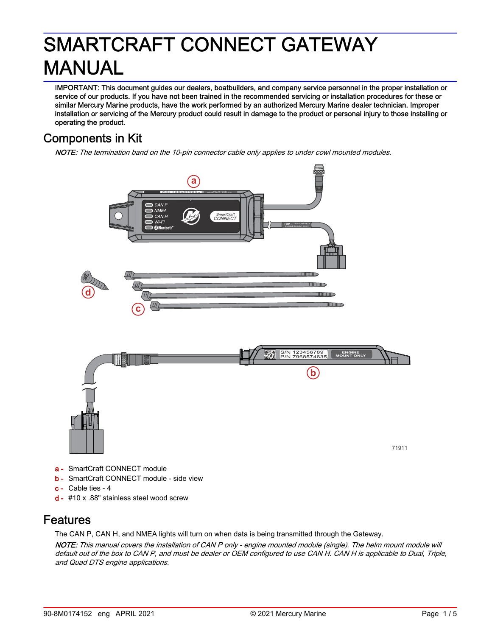# SMARTCRAFT CONNECT GATEWAY MANUAL

IMPORTANT: This document guides our dealers, boatbuilders, and company service personnel in the proper installation or service of our products. If you have not been trained in the recommended servicing or installation procedures for these or similar Mercury Marine products, have the work performed by an authorized Mercury Marine dealer technician. Improper installation or servicing of the Mercury product could result in damage to the product or personal injury to those installing or operating the product.

## Components in Kit

NOTE: The termination band on the 10-pin connector cable only applies to under cowl mounted modules.



- c Cable ties ‑ 4
- d #10 x .88" stainless steel wood screw

### Features

The CAN P, CAN H, and NMEA lights will turn on when data is being transmitted through the Gateway.

NOTE: This manual covers the installation of CAN P only - engine mounted module (single). The helm mount module will default out of the box to CAN P, and must be dealer or OEM configured to use CAN H. CAN H is applicable to Dual, Triple, and Quad DTS engine applications.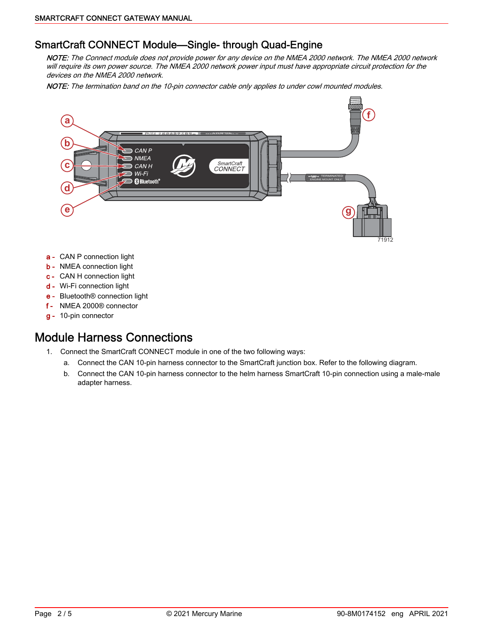#### SmartCraft CONNECT Module—Single-through Quad-Engine

NOTE: The Connect module does not provide power for any device on the NMEA 2000 network. The NMEA 2000 network will require its own power source. The NMEA 2000 network power input must have appropriate circuit protection for the devices on the NMEA 2000 network.

NOTE: The termination band on the 10-pin connector cable only applies to under cowl mounted modules.



- a CAN P connection light
- **b** NMEA connection light
- c CAN H connection light
- d Wi‑Fi connection light
- e Bluetooth® connection light
- f NMEA 2000® connector
- g 10‑pin connector

### Module Harness Connections

- 1. Connect the SmartCraft CONNECT module in one of the two following ways:
	- a. Connect the CAN 10‑pin harness connector to the SmartCraft junction box. Refer to the following diagram.
	- b. Connect the CAN 10-pin harness connector to the helm harness SmartCraft 10-pin connection using a male-male adapter harness.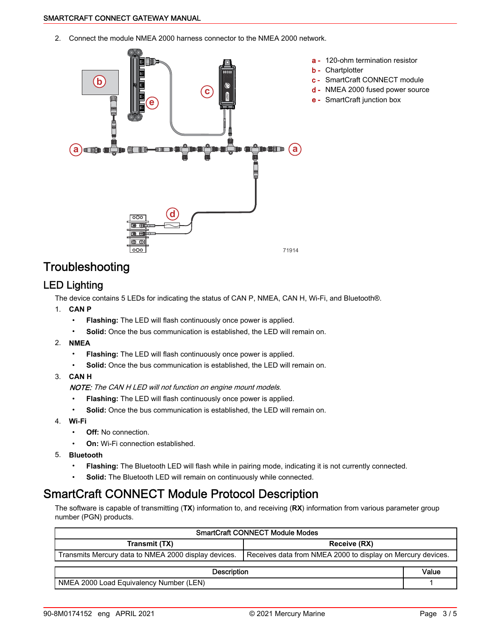2. Connect the module NMEA 2000 harness connector to the NMEA 2000 network.



## **Troubleshooting**

#### LED Lighting

The device contains 5 LEDs for indicating the status of CAN P, NMEA, CAN H, Wi‑Fi, and Bluetooth®.

- 1. **CAN P**
	- **Flashing:** The LED will flash continuously once power is applied.
	- **Solid:** Once the bus communication is established, the LED will remain on.
- 2. **NMEA**
	- **Flashing:** The LED will flash continuously once power is applied.
	- **Solid:** Once the bus communication is established, the LED will remain on.
- 3. **CAN H**

NOTE: The CAN H LED will not function on engine mount models.

- **Flashing:** The LED will flash continuously once power is applied.
- **Solid:** Once the bus communication is established, the LED will remain on.
- 4. **Wi‑Fi**
	- **Off:** No connection.
	- **On:** Wi-Fi connection established.
- 5. **Bluetooth**
	- **Flashing:** The Bluetooth LED will flash while in pairing mode, indicating it is not currently connected.
	- **Solid:** The Bluetooth LED will remain on continuously while connected.

## SmartCraft CONNECT Module Protocol Description

The software is capable of transmitting (**TX**) information to, and receiving (**RX**) information from various parameter group number (PGN) products.

| <b>SmartCraft CONNECT Module Modes</b>               |                                                             |       |  |  |
|------------------------------------------------------|-------------------------------------------------------------|-------|--|--|
| Transmit (TX)                                        | Receive (RX)                                                |       |  |  |
| Transmits Mercury data to NMEA 2000 display devices. | Receives data from NMEA 2000 to display on Mercury devices. |       |  |  |
| <b>Description</b>                                   |                                                             | Value |  |  |
| NMEA 2000 Load Equivalency Number (LEN)              |                                                             |       |  |  |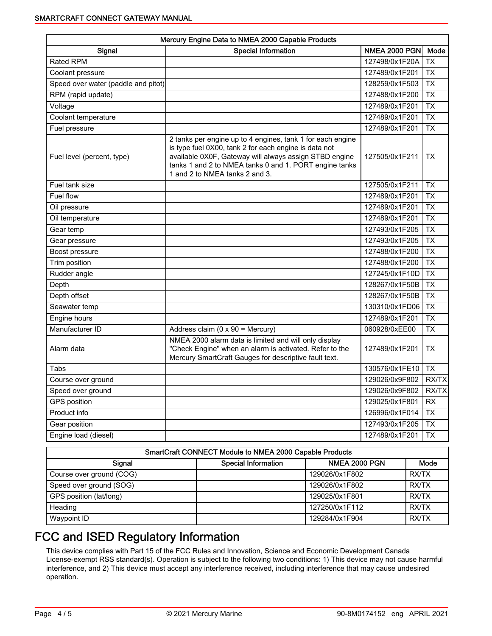| Mercury Engine Data to NMEA 2000 Capable Products |                                                                                                                                                                                                                                                                           |                      |                 |  |  |
|---------------------------------------------------|---------------------------------------------------------------------------------------------------------------------------------------------------------------------------------------------------------------------------------------------------------------------------|----------------------|-----------------|--|--|
| Signal                                            | <b>Special Information</b>                                                                                                                                                                                                                                                | <b>NMEA 2000 PGN</b> | Mode            |  |  |
| <b>Rated RPM</b>                                  |                                                                                                                                                                                                                                                                           | 127498/0x1F20A       | <b>TX</b>       |  |  |
| Coolant pressure                                  |                                                                                                                                                                                                                                                                           | 127489/0x1F201       | <b>TX</b>       |  |  |
| Speed over water (paddle and pitot)               |                                                                                                                                                                                                                                                                           | 128259/0x1F503       | <b>TX</b>       |  |  |
| RPM (rapid update)                                |                                                                                                                                                                                                                                                                           | 127488/0x1F200       | <b>TX</b>       |  |  |
| Voltage                                           |                                                                                                                                                                                                                                                                           | 127489/0x1F201       | <b>TX</b>       |  |  |
| Coolant temperature                               |                                                                                                                                                                                                                                                                           | 127489/0x1F201       | <b>TX</b>       |  |  |
| Fuel pressure                                     |                                                                                                                                                                                                                                                                           | 127489/0x1F201       | <b>TX</b>       |  |  |
| Fuel level (percent, type)                        | 2 tanks per engine up to 4 engines, tank 1 for each engine<br>is type fuel 0X00, tank 2 for each engine is data not<br>available 0X0F, Gateway will always assign STBD engine<br>tanks 1 and 2 to NMEA tanks 0 and 1. PORT engine tanks<br>1 and 2 to NMEA tanks 2 and 3. | 127505/0x1F211       | ТX              |  |  |
| Fuel tank size                                    |                                                                                                                                                                                                                                                                           | 127505/0x1F211       | $\overline{TX}$ |  |  |
| Fuel flow                                         |                                                                                                                                                                                                                                                                           | 127489/0x1F201       | <b>TX</b>       |  |  |
| Oil pressure                                      |                                                                                                                                                                                                                                                                           | 127489/0x1F201       | <b>TX</b>       |  |  |
| Oil temperature                                   |                                                                                                                                                                                                                                                                           | 127489/0x1F201       | <b>TX</b>       |  |  |
| Gear temp                                         |                                                                                                                                                                                                                                                                           | 127493/0x1F205       | <b>TX</b>       |  |  |
| Gear pressure                                     |                                                                                                                                                                                                                                                                           | 127493/0x1F205       | <b>TX</b>       |  |  |
| Boost pressure                                    |                                                                                                                                                                                                                                                                           | 127488/0x1F200       | <b>TX</b>       |  |  |
| Trim position                                     |                                                                                                                                                                                                                                                                           | 127488/0x1F200       | <b>TX</b>       |  |  |
| Rudder angle                                      |                                                                                                                                                                                                                                                                           | 127245/0x1F10D       | <b>TX</b>       |  |  |
| Depth                                             |                                                                                                                                                                                                                                                                           | 128267/0x1F50B       | <b>TX</b>       |  |  |
| Depth offset                                      |                                                                                                                                                                                                                                                                           | 128267/0x1F50B       | <b>TX</b>       |  |  |
| Seawater temp                                     |                                                                                                                                                                                                                                                                           | 130310/0x1FD06       | <b>TX</b>       |  |  |
| Engine hours                                      |                                                                                                                                                                                                                                                                           | 127489/0x1F201       | <b>TX</b>       |  |  |
| Manufacturer ID                                   | Address claim ( $0 \times 90$ = Mercury)                                                                                                                                                                                                                                  | 060928/0xEE00        | <b>TX</b>       |  |  |
| Alarm data                                        | NMEA 2000 alarm data is limited and will only display<br>"Check Engine" when an alarm is activated. Refer to the<br>Mercury SmartCraft Gauges for descriptive fault text.                                                                                                 | 127489/0x1F201       | <b>TX</b>       |  |  |
| Tabs                                              |                                                                                                                                                                                                                                                                           | 130576/0x1FE10       | <b>TX</b>       |  |  |
| Course over ground                                |                                                                                                                                                                                                                                                                           | 129026/0x9F802       | <b>RX/TX</b>    |  |  |
| Speed over ground                                 |                                                                                                                                                                                                                                                                           | 129026/0x9F802       | RX/TX           |  |  |
| GPS position                                      |                                                                                                                                                                                                                                                                           | 129025/0x1F801       | <b>RX</b>       |  |  |
| Product info                                      |                                                                                                                                                                                                                                                                           | 126996/0x1F014       | <b>TX</b>       |  |  |
| Gear position                                     |                                                                                                                                                                                                                                                                           | 127493/0x1F205       | <b>TX</b>       |  |  |
| Engine load (diesel)                              |                                                                                                                                                                                                                                                                           | 127489/0x1F201       | <b>TX</b>       |  |  |

| SmartCraft CONNECT Module to NMEA 2000 Capable Products |                            |                      |       |  |  |
|---------------------------------------------------------|----------------------------|----------------------|-------|--|--|
| Signal                                                  | <b>Special Information</b> | <b>NMEA 2000 PGN</b> | Mode  |  |  |
| Course over ground (COG)                                |                            | 129026/0x1F802       | RX/TX |  |  |
| Speed over ground (SOG)                                 |                            | 129026/0x1F802       | RX/TX |  |  |
| GPS position (lat/long)                                 |                            | 129025/0x1F801       | RX/TX |  |  |
| Heading                                                 |                            | 127250/0x1F112       | RX/TX |  |  |
| Waypoint ID                                             |                            | 129284/0x1F904       | RX/TX |  |  |

## FCC and ISED Regulatory Information

This device complies with Part 15 of the FCC Rules and Innovation, Science and Economic Development Canada License-exempt RSS standard(s). Operation is subject to the following two conditions: 1) This device may not cause harmful interference, and 2) This device must accept any interference received, including interference that may cause undesired operation.